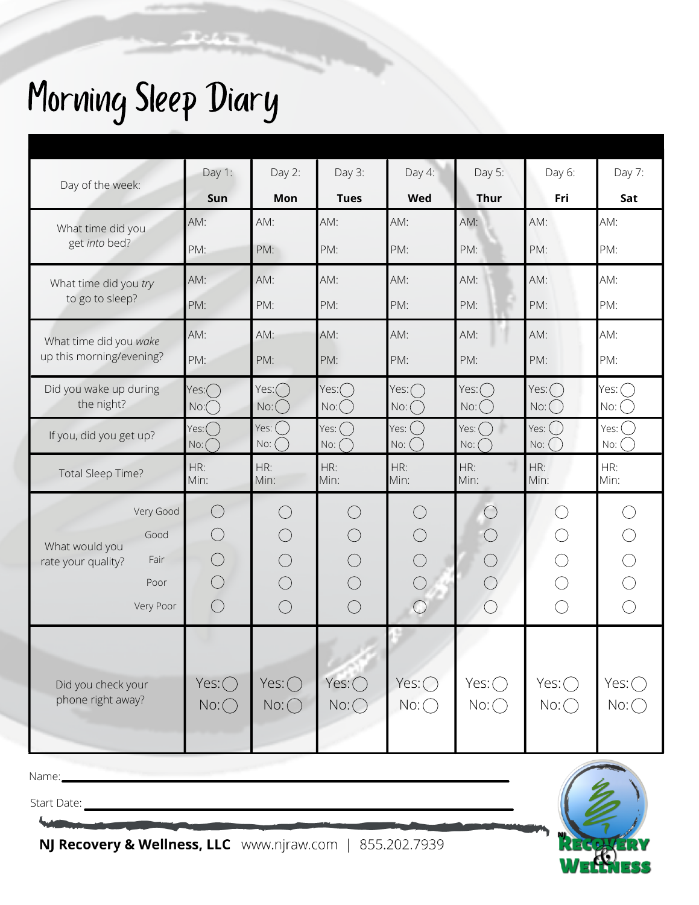## Morning Sleep Diary

| Day of the week:                                   | Day 1:                     | Day $2$ :                  | Day 3:                      | Day 4:                | Day 5:                       | Day 6:        | Day 7:                   |
|----------------------------------------------------|----------------------------|----------------------------|-----------------------------|-----------------------|------------------------------|---------------|--------------------------|
|                                                    | Sun                        | Mon                        | <b>Tues</b>                 | <b>Wed</b>            | <b>Thur</b>                  | Fri           | Sat                      |
| What time did you<br>get into bed?                 | AM:                        | AM:                        | AM:                         | AM:                   | AM:                          | AM:           | AM:                      |
|                                                    | PM:                        | PM:                        | PM:                         | PM:                   | PM:                          | PM:           | PM:                      |
| What time did you try<br>to go to sleep?           | AM:                        | AM:                        | AM:                         | AM:                   | AM:                          | AM:           | AM:                      |
|                                                    | PM:                        | PM:                        | PM:                         | PM:                   | PM:                          | PM:           | PM:                      |
| What time did you wake<br>up this morning/evening? | AM:                        | AM:                        | AM:                         | AM:                   | AM:                          | AM:           | AM:                      |
|                                                    | PM:                        | PM:                        | PM:                         | PM:                   | PM:                          | PM:           | PM:                      |
| Did you wake up during<br>the night?               | Yes:(                      | Yes: (                     | Yes:(                       | Yes: (                | $Yes:$ (                     | Yes: (        | Yes:                     |
|                                                    | $N$ o: $\bigcirc$<br>Yes:( | $N$ o: $\bigcup$<br>Yes: ( | $N$ o: $\bigcirc$<br>Yes: ( | $N$ o: $()$<br>Yes: ( | $N$ o: $\bigcup$<br>$Yes:$ ( | No:<br>Yes: ( | $N$ o: $\bigcup$<br>Yes: |
| If you, did you get up?                            | $N$ o: (                   | No: (                      | $NC:$ (                     | No: (                 | $No:$ (                      | No: (         | No:                      |
| Total Sleep Time?                                  | HR:<br>Min:                | HR:<br>Min:                | HR:<br>Min:                 | HR:<br>Min:           | HR:<br>Min:                  | HR:<br>Min:   | HR:<br>Min:              |
| Very Good                                          | $(\ )$                     |                            | $\frac{1}{2}$               |                       |                              |               |                          |
| Good<br>What would you                             |                            |                            |                             |                       |                              |               |                          |
| Fair<br>rate your quality?                         |                            |                            |                             |                       |                              |               |                          |
| Poor                                               |                            |                            |                             |                       |                              |               |                          |
| Very Poor                                          |                            |                            |                             | $\overline{(\ })$     |                              |               |                          |
|                                                    |                            |                            |                             |                       |                              |               |                          |
|                                                    |                            |                            |                             |                       |                              |               |                          |
| Did you check your<br>phone right away?            | $Yes:$ $\bigcap$           | Yes: $\bigcap$             | Yes:( )                     | Yes:                  | Yes: (                       | Yes: (        | Yes: (                   |
|                                                    | $No:$ $\bigcirc$           | No:()                      | No:()                       | $No:$ $\bigcirc$      | $No:$ $\bigcap$              | No:()         | $No:$ (                  |
|                                                    |                            |                            |                             |                       |                              |               |                          |
| Name:                                              |                            |                            |                             |                       |                              |               |                          |
| Start Date:                                        |                            |                            |                             |                       |                              |               |                          |
|                                                    |                            |                            |                             |                       |                              |               |                          |
| NJ Recovery & Wellness, LLC www.njraw.com          |                            |                            |                             | 855.202.7939          |                              |               |                          |